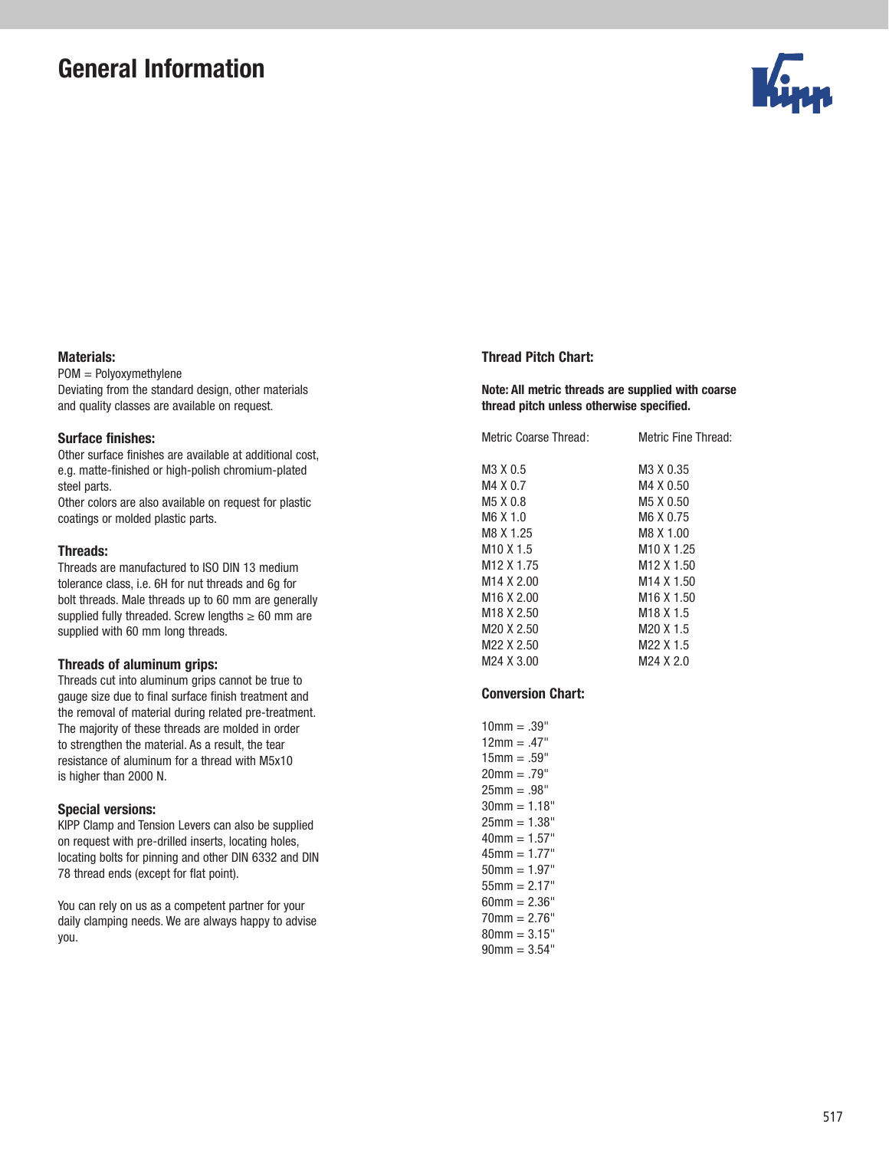# General Information



## Materials:

POM = Polyoxymethylene Deviating from the standard design, other materials and quality classes are available on request.

# Surface finishes:

Other surface finishes are available at additional cost, e.g. matte-finished or high-polish chromium-plated steel parts.

Other colors are also available on request for plastic coatings or molded plastic parts.

#### Threads:

Threads are manufactured to ISO DIN 13 medium tolerance class, i.e. 6H for nut threads and 6g for bolt threads. Male threads up to 60 mm are generally supplied fully threaded. Screw lengths  $\geq 60$  mm are supplied with 60 mm long threads.

#### Threads of aluminum grips:

Threads cut into aluminum grips cannot be true to gauge size due to final surface finish treatment and the removal of material during related pre-treatment. The majority of these threads are molded in order to strengthen the material. As a result, the tear resistance of aluminum for a thread with M5x10 is higher than 2000 N.

## Special versions:

KIPP Clamp and Tension Levers can also be supplied on request with pre-drilled inserts, locating holes, locating bolts for pinning and other DIN 6332 and DIN 78 thread ends (except for flat point).

You can rely on us as a competent partner for your daily clamping needs. We are always happy to advise you.

## Thread Pitch Chart:

## Note: All metric threads are supplied with coarse thread pitch unless otherwise specified.

| Metric Fine Thread:               |
|-----------------------------------|
| M3 X 0.35                         |
| M4 X 0.50                         |
| M <sub>5</sub> X 0.50             |
| M6 X 0.75                         |
| M8 X 1.00                         |
| M <sub>10</sub> X 1.25            |
| M <sub>12</sub> X 1.50            |
| M <sub>14</sub> X <sub>1.50</sub> |
| M <sub>16</sub> X 1.50            |
| M <sub>18</sub> X <sub>1.5</sub>  |
| M <sub>20</sub> X 1.5             |
| M <sub>22</sub> X 1.5             |
| M24 X 2.0                         |
|                                   |

#### Conversion Chart:

 $10$ mm = .39"  $12mm = .47"$  $15mm = .59"$  $20mm = .79"$  $25mm = .98"$  $30$ mm =  $1.18$ "  $25mm = 1.38"$  $40mm = 1.57"$  $45mm = 1.77"$  $50mm = 1.97"$  $55mm = 2.17"$  $60$ mm =  $2.36$ "  $70$ mm =  $2.76$ "  $80$ mm =  $3.15$ "  $90mm = 3.54"$